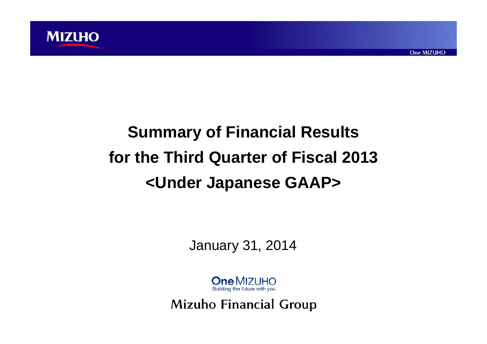

# **Summary of Financial Results for the Third Quarter of Fiscal 2013 <Under Japanese GAAP>**

January 31, 2014

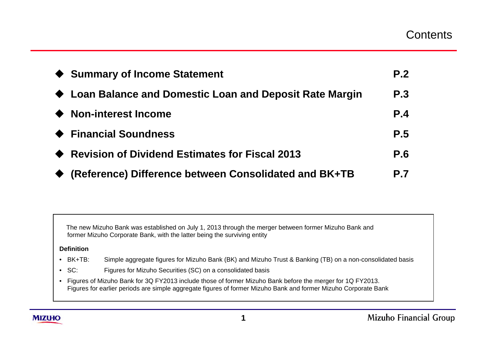|           | ♦ Summary of Income Statement                            | P.2        |
|-----------|----------------------------------------------------------|------------|
|           | ♦ Loan Balance and Domestic Loan and Deposit Rate Margin | P.3        |
| $\bullet$ | <b>Non-interest Income</b>                               | P.4        |
|           | ← Financial Soundness                                    | <b>P.5</b> |
|           | <b>Revision of Dividend Estimates for Fiscal 2013</b>    | <b>P.6</b> |
|           | (Reference) Difference between Consolidated and BK+TB    | <b>P.7</b> |

The new Mizuho Bank was established on July 1, 2013 through the merger between former Mizuho Bank and former Mizuho Corporate Bank, with the latter being the surviving entity

#### **Definition**

- BK+TB: Simple aggregate figures for Mizuho Bank (BK) and Mizuho Trust & Banking (TB) on a non-consolidated basis
- SC: Figures for Mizuho Securities (SC) on a consolidated basis
- Figures of Mizuho Bank for 3Q FY2013 include those of former Mizuho Bank before the merger for 1Q FY2013. Figures for earlier periods are simple aggregate figures of former Mizuho Bank and former Mizuho Corporate Bank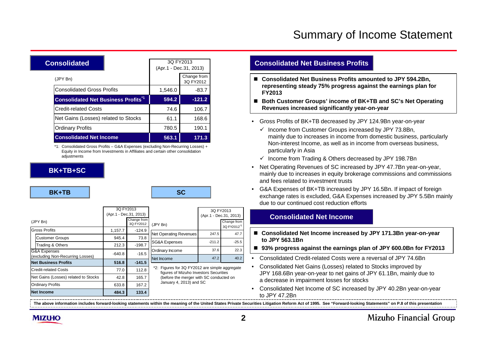# Summary of Income Statement

| Consolidated                               |  | 3Q FY2013<br>(Apr.1 - Dec.31, 2013) |                          |
|--------------------------------------------|--|-------------------------------------|--------------------------|
| (JPY Bn)                                   |  |                                     | Change from<br>3Q FY2012 |
| <b>Consolidated Gross Profits</b>          |  | 1,546.0                             | $-83.7$                  |
| <b>Consolidated Net Business Profits*1</b> |  | 594.2                               | $-121.2$                 |
| <b>Credit-related Costs</b>                |  | 74.6                                | 106.7                    |
| Net Gains (Losses) related to Stocks       |  | 61.1                                | 168.6                    |
| <b>Ordinary Profits</b>                    |  | 780.5                               | 190.1                    |
| <b>Consolidated Net Income</b>             |  | 563.1                               | 171.3                    |

\*1: Consolidated Gross Profits – G&A Expenses (excluding Non-Recurring Losses) + Equity in Income from Investments in Affiliates and certain other consolidation adiustments

#### **BK+TB+SC**

#### **BK+TB**

B<sub>a</sub>

|                                                  | 3Q FY2013<br>(Apr.1 - Dec.31, 2013) |                          |                                                                                                                                     | 3Q FY2013<br>(Apr.1 - Dec.31, 2013) |                                        |
|--------------------------------------------------|-------------------------------------|--------------------------|-------------------------------------------------------------------------------------------------------------------------------------|-------------------------------------|----------------------------------------|
| (JPY Bn)                                         |                                     | Change from<br>3Q FY2012 | (JPY Bn)                                                                                                                            |                                     | Change from<br>3Q FY2012 <sup>"2</sup> |
| <b>Gross Profits</b>                             | 1,157.7                             | $-124.9$                 | <b>Net Operating Revenues</b>                                                                                                       | 247.5                               | 47.7                                   |
| <b>Customer Groups</b>                           | 945.4                               | 73.8                     |                                                                                                                                     |                                     |                                        |
| Trading & Others                                 | 212.3                               | $-198.7$                 | SG&A Expenses                                                                                                                       | $-211.2$                            | $-25.5$                                |
| G&A Expenses<br>(excluding Non-Recurring Losses) | $-640.8$                            | $-16.5$                  | Ordinary Income                                                                                                                     | 37.6                                | 22.3                                   |
| <b>Net Business Profits</b>                      | 516.8                               | $-141.5$                 | Net Income                                                                                                                          | 47.2                                | 40.2                                   |
| <b>Credit-related Costs</b>                      | 77.0                                | 112.8                    | *2: Figures for 3Q FY2012 are simple aggregate<br>figures of Mizuho Investors Securities<br>(before the merger with SC conducted on |                                     |                                        |
| Net Gains (Losses) related to Stocks             | 42.8                                | 165.7                    |                                                                                                                                     |                                     |                                        |
| <b>Ordinary Profits</b>                          | 633.8                               | 167.2                    | January 4, 2013) and SC                                                                                                             |                                     |                                        |
| <b>Net Income</b>                                | 484.3                               | 133.4                    |                                                                                                                                     |                                     |                                        |

#### **Consolidated Net Business Profits**

- Consolidated Net Business Profits amounted to JPY 594.2Bn, **representing steady 75% progress against the earnings plan for FY2013**
- Both Customer Groups' income of BK+TB and SC's Net Operating **Revenues increased significantly year-on-year**
- Gross Profits of BK+TB decreased by JPY 124.9Bn year-on-year
	- $\checkmark$  Income from Customer Groups increased by JPY 73.8Bn, mainly due to increases in income from domestic business, particularly Non-interest Income, as well as in income from overseas business, particularly in Asia
	- $\checkmark$  Income from Trading & Others decreased by JPY 198.7Bn
- Net Operating Revenues of SC increased by JPY 47.7Bn year-on-year, mainly due to increases in equity brokerage commissions and commissions and fees related to investment trusts
- G&A Expenses of BK+TB increased by JPY 16.5Bn. If impact of foreign exchange rates is excluded, G&A Expenses increased by JPY 5.5Bn mainly due to our continued cost reduction efforts

#### **Consolidated Net Income**

- Consolidated Net Income increased by JPY 171.3Bn year-on-year **to JPY 563.1Bn**
- **93% progress against the earnings plan of JPY 600.0Bn for FY2013**
- Consolidated Credit-related Costs were a reversal of JPY 74.6Bn
- Consolidated Net Gains (Losses) related to Stocks improved by JPY 168.6Bn year-on-year to net gains of JPY 61.1Bn, mainly due to a decrease in impairment losses for stocks
- Consolidated Net Income of SC increased by JPY 40.2Bn year-on-year to JPY 47.2Bn

**The above information includes forward-looking statements within the meaning of the United States Private Securities Litigation Reform Act of 1995. See "Forward-looking Statements" on P.8 of this presentation**

**MIZUHO**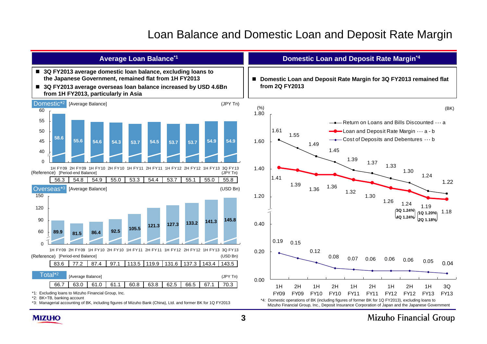# Loan Balance and Domestic Loan and Deposit Rate Margin



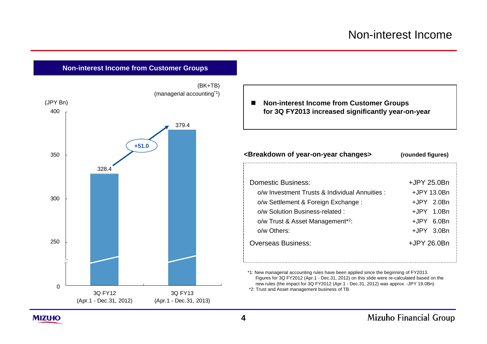



■ Non-interest Income from Customer Groups **for 3Q FY2013 increased significantly year-on-year**

#### **<Breakdown of year-on-year changes> (rounded figures)**

| Domestic Business:                            | +JPY 25.0Bn   |
|-----------------------------------------------|---------------|
| o/w Investment Trusts & Individual Annuities: | +JPY 13.0Bn   |
| o/w Settlement & Foreign Exchange:            | $+$ JPY 2.0Bn |
| o/w Solution Business-related :               | +JPY 1.0Bn    |
| o/w Trust & Asset Management <sup>*2</sup> :  | +JPY 6.0Bn    |
| $o/w$ Others:                                 | $+$ JPY 3.0Bn |
| <b>Overseas Business:</b>                     | +JPY 26.0Bn   |

\*1: New managerial accounting rules have been applied since the beginning of FY2013. Figures for 3Q FY2012 (Apr.1 - Dec.31, 2012) on this slide were re-calculated based on the new rules (the impact for 3Q FY2012 (Apr.1 - Dec.31, 2012) was approx. -JPY 19.0Bn) \*2: Trust and Asset management business of TB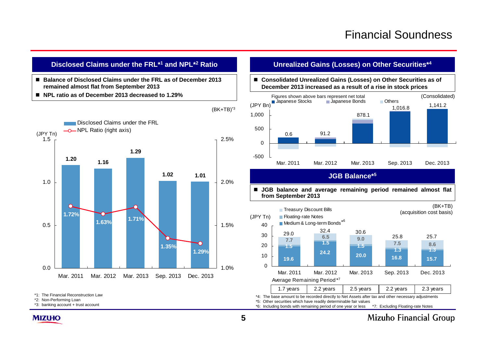## **Disclosed Claims under the FRL\*1 and NPL\*2 Ratio**

- Balance of Disclosed Claims under the FRL as of December 2013 **remained almost flat from September 2013**
- NPL ratio as of December 2013 decreased to 1.29%



\*1: The Financial Reconstruction Law

\*2: Non-Performing Loan

\*3: banking account + trust account

#### **Unrealized Gains (Losses) on Other Securities\*4**

#### ■ Consolidated Unrealized Gains (Losses) on Other Securities as of **December 2013 increased as a result of a rise in stock prices**



### **JGB Balance\*<sup>5</sup>**

■ JGB balance and average remaining period remained almost flat **from September 2013**



\*4: The base amount to be recorded directly to Net Assets after tax and other necessary adjustments

\*5: Other securities which have readily determinable fair values

\*6: Including bonds with remaining period of one year or less \*7: Excluding Floating-rate Notes



 $(BK+TB)^*$ <sup>3</sup>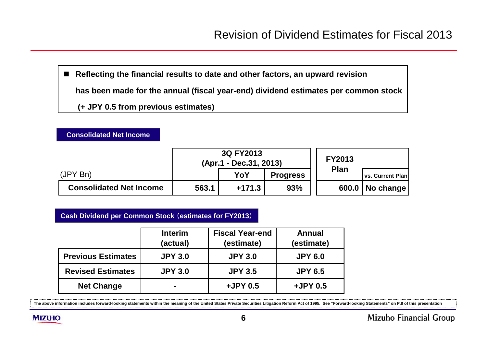■ Reflecting the financial results to date and other factors, an upward revision **has been made for the annual (fiscal year-end) dividend estimates per common stock (+ JPY 0.5 from previous estimates)**

|                                | 3Q FY2013<br>(Apr.1 - Dec.31, 2013) |        |                 |             |                         | <b>FY2013</b> |  |
|--------------------------------|-------------------------------------|--------|-----------------|-------------|-------------------------|---------------|--|
| (JPYBn)                        |                                     | YoY    | <b>Progress</b> | <b>Plan</b> | <b>vs. Current Plan</b> |               |  |
| <b>Consolidated Net Income</b> | 563.1                               | +171.3 | 93%             | 600.0       | No change               |               |  |

## **Cash Dividend per Common Stock** (**estimates for FY2013**)

**Consolidated Net Income**

|                           | <b>Interim</b><br>(actual) | <b>Fiscal Year-end</b><br>(estimate) | <b>Annual</b><br>(estimate) |
|---------------------------|----------------------------|--------------------------------------|-----------------------------|
| <b>Previous Estimates</b> | <b>JPY 3.0</b>             | <b>JPY 3.0</b>                       | <b>JPY 6.0</b>              |
| <b>Revised Estimates</b>  | <b>JPY 3.0</b>             | <b>JPY 3.5</b>                       | <b>JPY 6.5</b>              |
| <b>Net Change</b>         | ۰                          | +JPY 0.5                             | +JPY 0.5                    |

**The above information includes forward-looking statements within the meaning of the United States Private Securities Litigation Reform Act of 1995. See "Forward-looking Statements" on P.8 of this presentation**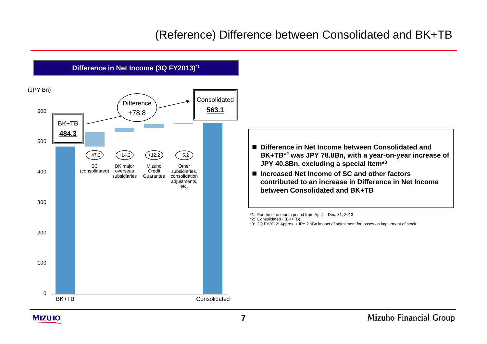